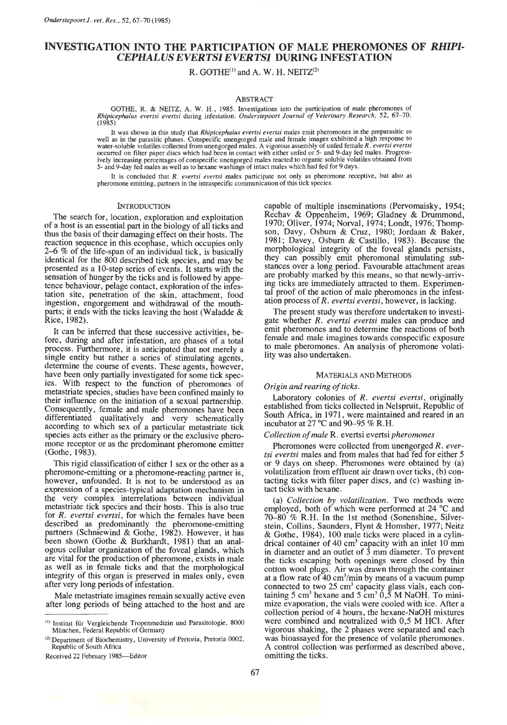# **INVESTIGATION INTO THE PARTICIPATION OF MALE PHEROMONES OF** *RHIPI-CEPHALUS EVERTS/ EVERTS/* **DURING INFESTATION**

R. GOTHE<sup>(1)</sup> and A. W. H. NEITZ<sup>(2)</sup>

# ABSTRACT

GOTHE, R. & NEITZ, A. W. H., 1985. Investigations into the participation of male pheromones of *Rhipicephalus evertsi evensi* during infestation. *Onderstepoort Journnl of Veterinnry Research,* 52, 67-70. (1985)

It was shown in this study that *Rhipicephalus evertsi evertsi* males emit pheromones in the preparasitic as well as in the parasitic phases. Conspecific unengorged male and female images exhibited a high response to water-soluble volatiles collected from unengorged males. A vigorous assembly of unfed female R. evertsi evertsi<br>occurred on filter paper discs which had been in contact with either unfed or 5- and 9-day fed males. Progress ively increasing percentages of conspecific unengorged males reacted to organic soluble volatiles obtained from 5- and 9-day fed males as well as to hexane washings of intact males which had fed for 9 days.

It is concluded that *R. evertsi evertsi* males participate not only as pheromone receptive, but also as pheromone emitting, partners in the intraspecific communication of this tick species.

### **INTRODUCTION**

The search for, location, exploration and exploitation of a host is an essential part in the biology of all ticks and thus the basis of their damaging effect on their hosts. The reaction sequence in this ecophase, which occupies only 2-6 % of the life-span of an individual tick, is basically identical for the 800 described tick species, and may be presented as a 10-step series of events. It starts with the sensation of hunger by the ticks and is followed by appetence behaviour, pelage contact, exploration of the infestation site, penetration of the skin, attachment, food ingestion, engorgement and withdrawal of the mouthparts; it ends with the ticks leaving the host (Waladde & Rice, 1982).

It can be inferred that these successive activities, before, during and after infestation, are phases of a total process. Furthermore, it is anticipated that not merely a single entity but rather a series of stimulating agents, determine the course of events. These agents, however, have been only partially investigated for some tick species. With respect to the function of pheromones of metastriate species, studies have been confined mainly to their influence on the initiation of a sexual partnership. Consequently, female and male pheromones have been differentiated qualitatively and very schematically according to which sex of a particular metastriate tick species acts either as the primary or the exclusive pheromone receptor or as the predominant pheromone emitter (Gothe, 1983).

This rigid classification of either 1 sex or the other as a pheromone-emitting or a pheromone-reacting partner is, however, unfounded. It is not to be understood as an expression of a species-typical adaptation mechanism in the very complex interrelations between individual metastriate tick species and their hosts. This is also true for *R. evertsi evertsi,* for which the females have been described as predominantly the pheromone-emitting partners (Schniewind & Gothe, 1982). However, it has been shown (Gothe & Burkhardt, 1981) that an analogous cellular organization of the foveal glands, which are vital for the production of pheromone, exists in male as well as in female ticks and that the morphological integrity of this organ is preserved in males only, even after very long periods of infestation.

Male metastriate imagines remain sexually active even after long periods of being attached to the host and are

capable of multiple inseminations (Pervomaisky, 1954; Rechav & Oppenheim, 1969; Gladney & Drummond, 1970; Oliver, 1974; Norval, 1974; Londt, 1976; Thompson, Davy, Osburn & Cruz, 1980; Jordaan & Baker, 1981; Davey, Osburn & Castillo, 1983). Because the morphological integrity of the foveal glands persists, they can possibly emit pheromonal stimulating substances over a long period. Favourable attachment areas are probably marked by this means, so that newly-arriving ticks are immediately attracted to them. Experimental proof of the action of male pheromones in the infestation process of *R. evertsi evertsi,* however, is lacking.

The present study was therefore undertaken to investigate whether *R. evertsi evertsi* males can produce and emit pheromones and to determine the reactions of both female and male imagines towards conspecific exposure to male pheromones. An analysis of pheromone volatility was also undertaken.

### MATERIALS AND METHODS

### *Origin and rearing of ticks.*

Laboratory colonies of *R. evertsi evertsi,* originally established from ticks collected in Nelspruit, Republic of South Africa, in 1971, were maintained and reared in an incubator at  $27^{\circ}$ C and 90-95 % R.H.

## *Collection of male* R. evertsi evertsi *pheromones*

Pheromones were collected from unengorged *R. evertsi evertsi* males and from males that had fed for either 5 or 9 days on sheep. Pheromones were obtained by (a) volatilization from effluent air drawn over ticks, (b) contacting ticks with filter paper discs, and (c) washing intact ticks with hexane.

(a) *Collection by volatilization.* Two methods were employed, both of which were performed at 24 °C and 70-80 % R.H. In the lst method (Sonenshine, Silverstein, Collins, Saunders, Flynt & Homsher, 1977; Neitz & Gothe, 1984), 100 male ticks were placed in a cylindrical container of 40 cm<sup>3</sup> capacity with an inlet 10 mm in diameter and an outlet of  $\hat{3}$  mm diameter. To prevent the ticks escaping both openings were closed by thin cotton wool plugs. Air was drawn through the container at a flow rate of  $40 \text{ cm}^3/\text{min}$  by means of a vacuum pump connected to two  $25 \text{ cm}^3$  capacity glass vials, each containing 5 cm<sup>3</sup> hexane and 5 cm<sup>3</sup>  $0,\overline{5}$  M NaOH. To minimize evaporation, the vials were cooled with ice. After a collection period of 4 hours, the hexane-NaOH mixtures were combined and neutralized with 0,5 M HCl. After vigorous shaking, the 2 phases were separated and each was bioassayed for the presence of volatile pheromones. A control collection was performed as described above, omitting the ticks.

<sup>11</sup> ) lnstitut fiir Vergleichende Tropenmedizin und Parasitologie, 8000 Miinchen, Federal Republic of Germany

<sup>12)</sup> Department of Biochemistry, University of Pretoria, Pretoria 0002, Republic of South Africa

Received 22 February 1985-Editor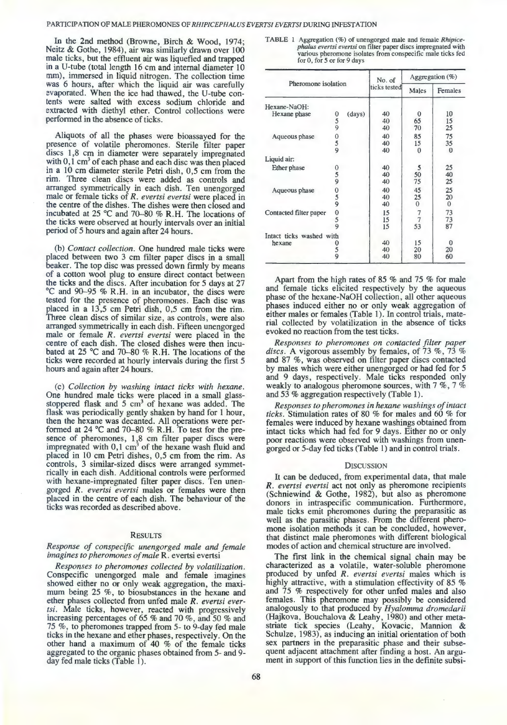# PARTICIPATION OF MALE PHEROMONES OF *RHIPICEPHALUS EVERTS! EVERTS/* DURING INFESTATION

In the 2nd method (Browne, Birch & Wood, 1974; Neitz & Gothe, 1984), air was similarly drawn over 100 male ticks, but the effluent air was liquefied and trapped in a U-tube (total length 16 cm and internal diameter 10 mm), immersed in liquid nitrogen. The collection time was 6 hours, after which the liquid air was carefully evaporated. When the ice had thawed, the U-tube contents were salted with excess sodium chloride and extracted with diethyl ether. Control collections were performed in the absence of ticks.

Aliquots of all the phases were bioassayed for the presence of volatile pheromones. Sterile filter paper discs 1 ,8 em in diameter were separately impregnated with  $0,1$  cm<sup>3</sup> of each phase and each disc was then placed in a 10 em diameter sterile Petri dish, 0,5 em from the rim. Three clean discs were added as controls and arranged symmetrically in each dish. Ten unengorged male or female ticks of *R. evertsi evertsi* were placed in the centre of the dishes. The dishes were then closed and incubated at 25 °C and 70-80 % R.H. The locations of the ticks were observed at hourly intervals over an initial period of 5 hours and again after 24 hours.

(b) *Contact collection.* One hundred male ticks were placed between two 3 em filter paper discs in a small beaker. The top disc was pressed down firmly by means of a cotton wool plug to ensure direct contact between the ticks and the discs. After incubation for 5 days at 27  $^{\circ}$ C and 90-95 % R.H. in an incubator, the discs were tested for the presence of pheromones. Each disc was placed in a 13,5 em Petri dish, 0,5 em from the rim. Three clean discs of similar size, as controls, were also arranged symmetrically in each dish. Fifteen unengorged male or female *R. evertsi evertsi* were placed in the centre of each dish. The closed dishes were then incubated at 25  $^{\circ}$ C and 70-80 % R.H. The locations of the ticks were recorded at hourly intervals during the first 5 hours and again after 24 hours.

(c) *Collection by washing intact ticks with hexane.*  One hundred male ticks were placed in a small glassstoppered flask and  $5 \text{ cm}^3$  of hexane was added. The flask was periodically gently shaken by hand for 1 hour, then the hexane was decanted. All operations were performed at 24  $^{\circ}$ C and 70-80 % R.H. To test for the presence of pheromones, 1,8 em filter paper discs were impregnated with  $0,1$  cm<sup>3</sup> of the hexane wash fluid and placed in 10 em Petri dishes, 0,5 em from the rim. As controls, 3 similar-sized discs were arranged symmetrically in each dish. Additional controls were performed with hexane-impregnated filter paper discs. Ten unengorged *R. evertsi evertsi* males or females were then placed in the centre of each dish. The behaviour of the ticks was recorded as described above.

#### **RESULTS**

# *Response of conspecific unengorged male and female imagines to pheromones of male* R. evertsi evertsi

*Responses to pheromones collected by volatilization.*  Conspecific unengorged male and female imagines showed either no or only weak aggregation, the maximum being 25 %, to biosubstances in the hexane and ether phases collected from unfed male *R. evertsi ever- tsi.* Male ticks, however, reacted with progressively increasing percentages of 65% and 70 %, and 50% and 75 %, to pheromones trapped from 5- to 9-day fed male ticks in the hexane and ether phases, respectively. On the other hand a maximum of 40 % of the female ticks aggregated to the organic phases obtained from 5- and 9 day fed male ticks (Table 1).

TABLE l Aggregation (%) of unengorged male and female *Rhipice· phalus evertsi evertsi* on filter paper discs impregnated with various pheromone isolates from conspecific male ticks fed for 0, for *5* or for 9 days

|                          |                                 | No. of<br>ticks tested | Aggregation (%) |                          |                      |
|--------------------------|---------------------------------|------------------------|-----------------|--------------------------|----------------------|
| Pheromone isolation      |                                 |                        | Males           | Females                  |                      |
| Hexane-NaOH:             |                                 |                        |                 |                          |                      |
| Hexane phase             | $\frac{0}{5}$<br>$\overline{9}$ | (days)                 | 40<br>40<br>40  | 0<br>65<br>70            | 10<br>15<br>25       |
| Aqueous phase            | 0<br>$\frac{5}{9}$              |                        | 40<br>40<br>40  | 85<br>15<br>n            | 75<br>35<br>$\Omega$ |
| Liquid air:              |                                 |                        |                 |                          |                      |
| Ether phase              | 0<br>$\frac{5}{9}$              |                        | 40<br>40<br>40  | 5<br>50<br>75            | 25<br>40<br>25       |
| Aqueous phase            | 0<br>$\frac{5}{9}$              |                        | 40<br>40<br>40  | 45<br>25<br>$\mathbf{0}$ | 25<br>20<br>0        |
| Contacted filter paper   | 0<br>5<br>9                     |                        | 15<br>15<br>15  | 7<br>7<br>53             | 73<br>73<br>87       |
| Intact ticks washed with |                                 |                        |                 |                          |                      |
| hexane                   | 0<br>5<br>9                     |                        | 40<br>40<br>40  | 15<br>20<br>80           | о<br>20<br>60        |

Apart from the high rates of 85 % and 75 % for male and female ticks elicited respectively by the aqueous phase of the hexane-NaOH collection, all other aqueous phases induced either no or only weak aggregation of either males or females (Table 1). In control trials, material collected by volatilization in the absence of ticks evoked no reaction from the test ticks.

*Responses to pheromones on contacted filter paper*  discs. A vigorous assembly by females, of 73 %, 73 % and 87 %, was observed on filter paper discs contacted by males which were either unengorged or had fed for 5 and 9 days, respectively. Male ticks responded only weakly to analogous pheromone sources, with  $7\%$ ,  $7\%$ and 53 % aggregation respectively (Table 1).

*Responses to pheromones in hexane washings of intact ticks.* Stimulation rates of 80 % for males and 60 % for females were induced by hexane washings obtained from intact ticks which had fed for 9 days. Either no or only poor reactions were observed with washings from unengorged or 5-day fed ticks (Table 1) and in control trials.

#### **DISCUSSION**

It can be deduced, from experimental data, that male *R. evertsi evertsi* act not only as pheromone recipients (Schniewind & Gothe, 1982), but also as pheromone donors in intraspecific communication. Furthermore, male ticks emit pheromones during the preparasitic as well as the parasitic phases. From the different pheromone isolation methods it can be concluded, however, that distinct male pheromones with different biological modes of action and chemical structure are involved.

The first link in the chemical signal chain may be characterized as a volatile, water-soluble pheromone produced by unfed *R. evertsi evertsi* males which is highly attractive, with a stimulation effectivity of 85 % and 75 % respectively for other unfed males and also females. This pheromone may possibly be considered analogously to that produced by *Hyalomma dromedarii*  (Hajkova, Bouchalova & Leahy, 1980) and other metastriate tick species (Leahy, Kovacic, Mannion & Schulze, 1983), as inducing an initial orientation of both sex partners in the preparasitic phase and their subsequent adjacent attachment after finding a host. An argument in support of this function lies in the definite subsi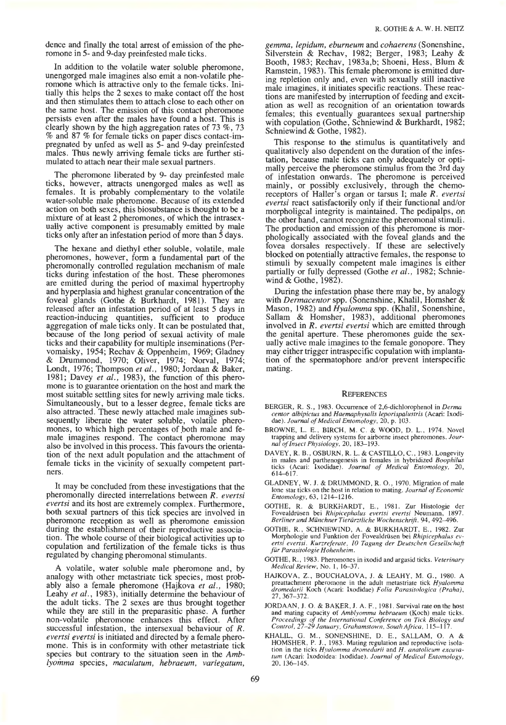dence and finally the total arrest of emission of the pheromone in 5- and 9-day preinfested male ticks.

In addition to the volatile water soluble pheromone, unengorged male imagines also emit a non-volatile pheromone which is attractive only to the female ticks. Initially this helps the 2 sexes to make contact off the host and then stimulates them to attach close to each other on the same host. The emission of this contact pheromone persists even after the males have found a host. This is clearly shown by the high aggregation rates of 73 %, 73 % and 87 % for female ticks on paper discs contact-impregnated by unfed as well as 5- and 9-day preinfested males. Thus newly arriving female ticks are further stimulated to attach near their male sexual partners.

The pheromone liberated by 9- day preinfested male ticks, however, attracts unengorged males as well as females. It is probably complementary to the volatile water-soluble male pheromone. Because of its extended action on both sexes, this biosubstance is thought to be a mixture of at least 2 pheromones, of which the intrasexually active component is presumably emitted by male ticks only after an infestation period of more than 5 days.

The hexane and diethyl ether soluble, volatile, male pheromones, however, form a fundamental part of the pheromonally controlled regulation mechanism of male ticks during infestation of the host. These pheromones are emitted during the period of maximal hypertrophy and hyperplasia and highest granular concentration of the foveal glands (Gothe & Burkhardt, 1981). They are released after an infestation period of at least 5 days in reaction-inducing quantities, sufficient to produce aggregation of male ticks only. It can be postulated that, because of the long period of sexual activity of male ticks and their capability for multiple inseminations (Pervomaisky, 1954; Rechav & Oppenheim, 1969; Gladney & Drummond, 1970; Oliver, 1974; Norval, 1974; Londt, 1976; Thompson et al., 1980; Jordaan & Baker, 1981; Davey *et at.,* 1983), the function of this pheromone is to guarantee orientation on the host and mark the most suitable settling sites for newly arriving male ticks. Simultaneously, but to a lesser degree, female ticks are also attracted. These newly attached male imagines subsequently liberate the water soluble, volatile pheromones, to which high percentages of both male and female imagines respond. The contact pheromone may also be involved in this process. This favours the orientation of the next adult population and the attachment of female ticks in the vicinity of sexually competent part-

It may be concluded from these investigations that the pheromonally directed interrelations between *R. evertsi evertsi* and its host are extremely complex. Furthermore, both sexual partners of this tick species are involved in pheromone reception as well as pheromone emission during the establishment of their reproductive association. The whole course of their biological activities up to copulation and fertilization of the female ticks is thus regulated by changing pheromonal stimulants.

A volatile, water soluble male pheromone and, by analogy with other metastriate tick species, most probably also a female pheromone (Hajkova *et a/.,* 1980; Leahy *et al.*, 1983), initially determine the behaviour of the adult ticks. The 2 sexes are thus brought together while they are still in the preparasitic phase. A further non-volatile pheromone enhances this effect. After successful infestation, the intersexual behaviour of R. *evertsi evertsi* is initiated and directed by a female pheromone. This is in conformity with other metastriate tick species but contrary to the situation seen in the *Amblyomma* species, *maculatum, hebraeum, variegatum,* 

*gemma, lepidum, eburneum* and *cohaerens* (Sonenshine, Silverstein & Rechav, 1982; Berger, 1983; Leahy & Booth, 1983; Rechav, 1983a,b; Shoeni, Hess, Blum & Ramstein, 1983). This female pheromone is emitted during repletion only and, even with sexually still inactive male imagines, it initiates specific reactions. These reactions are manifested by interruption of feeding and excitation as well as recognition of an orientation towards females; this eventually guarantees sexual partnership with copulation (Gothe, Schniewind & Burkhardt, 1982; Schniewind & Gothe, 1982).

This response to the stimulus is quantitatively and qualitatively also dependent on the duration of the infestation, because male ticks can only adequately or optimally perceive the pheromone stimulus from the 3rd day of infestation onwards. The pheromone is perceived mainly, or possibly exclusively, through the chemoreceptors of Haller's organ or tarsus I; male *R. evertsi evertsi* react satisfactorily only if their functional and/or morpholigcal integrity is maintained. The pedipalps, on the other hand, cannot recognize the pheromonal stimuli. The production and emission of this pheromone is morphologically associated with the foveal glands and the fovea dorsales respectively. If these are selectively blocked on potentially attractive females, the response to stimuli by sexually competent male imagines is either partially or fully depressed (Gothe *et al.,* 1982; Schniewind  $&$  Gothe, 1982).

During the infestation phase there may be, by analogy with *Dermacentor* spp. (Sonenshine, Khalil, Homsher & Mason, 1982) and *Hyalomma* spp. (Khalil, Sonenshine, Sallam & Homsher, 1983), additional pheromones involved in R. *evertsi evertsi* which are emitted through the genital aperture. These pheromones guide the sexually active male imagines to the female gonopore. They may either trigger intraspecific copulation with implantation of the spermatophore and/or prevent interspecific mating.

### **REFERENCES**

- BERGER, R. S., 1983. Occurrence of 2,6-dichlorophenol in *Derma centor albipictus* and *Haemaphysalis leporispalustris* (Acari: Ixodidae). *Journal of Medical Entomology,* 20, p. 103.
- BROWNE, L. E., BIRCH, M. C. & WOOD, D. L., 1974. Novel trapping and delivery systems for airborne insect pheromones. *Jour- nal of Insect Physiology,* 20, 183-193.
- DAVEY, R. B., OSBURN, R. L. & CASTILLO, C., 1983. Longevity in males and parthenogenesis in females in hybridized *Boophilus* ticks (Acari: Ixodidae). *Journal of Medical Entomology*, 20, 614-617.
- GLADNEY, W. J. & DRUMMOND, R. 0., 1970. Migration of male lone star ticks on the host in relation to mating. *Journal of Economic Entomology,* 63, 1214--1216.
- GOTHE, R. & BURKHARDT, E., 1981. Zur Histologie der Fovealdriisen bei *Rhipicephalus evertsi evertsi* Neumann, 1897. *Berlinerund Miinchner Tieriirztliche Wochenschrift,* 94, 492-496.
- GOTHE, R., SCHN1EWIND, A. & BURKHARDT, E., 1982. Zur Morphologie und Funktion der Fovealdriisen bei *Rhipicephalus evertsi evertsi. Kurzreferate, /0 Tagung der Deutschen Gesellschaft fiir Parasitologie Hohenheim.*
- GOTHE, R., 1983. Pheromones in ixodid and argasid ticks. *Veterinary Medical Review,* No. I, 16-37.
- HAJKOVA, Z. , BOUCHALOVA, J. & LEAHY, M.G., 1980. A preattachment pheromone in the adult metastriate tick *Hyalomma dromedarii* Koch (Acari: Ixodidae) *Folia Parasitologica (Praha),* 27, 367- 372.
- JORDAAN, J. 0. & BAKER, J. A. F., 1981. Survival rate on the host and mating capacity of *Amblyomma hebraeum* (Koch) male ticks.<br>*Proceedings of the International Conference on Tick Biology and*<br>*Control, 27-29 January, Grahamstown, South Africa, 115-117.*
- KHALIL, G. M., SONENSHINE, D. E., SALLAM, O. A & HOMSHER, P. J., 1983. Mating regulation and reproductive isolation in the ticks *Hmlomma dromedarii* and *H. anatolicum excava- tum* (Acari: Ixodoidea: Ixodidae). *Journal of Medical Elllomology,*  20. 136-145.